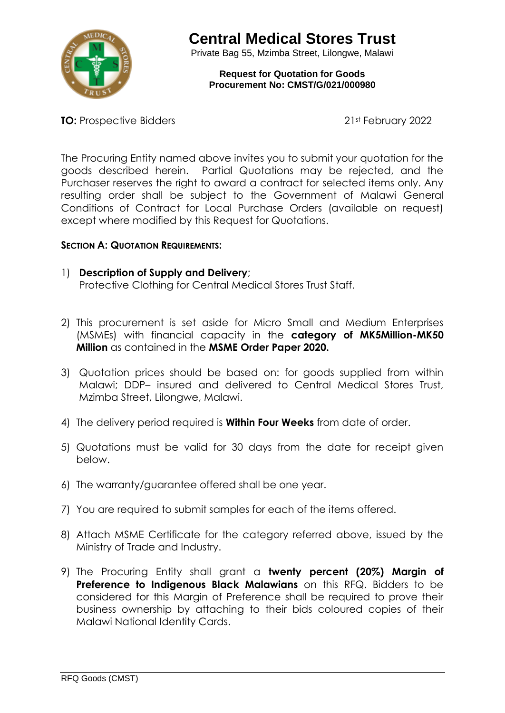

Private Bag 55, Mzimba Street, Lilongwe, Malawi

**Request for Quotation for Goods Procurement No: CMST/G/021/000980**

**TO:** Prospective Bidders 21st February 2022

The Procuring Entity named above invites you to submit your quotation for the goods described herein. Partial Quotations may be rejected, and the Purchaser reserves the right to award a contract for selected items only. Any resulting order shall be subject to the Government of Malawi General Conditions of Contract for Local Purchase Orders (available on request) except where modified by this Request for Quotations.

#### **SECTION A: QUOTATION REQUIREMENTS:**

- 1) **Description of Supply and Delivery**; Protective Clothing for Central Medical Stores Trust Staff.
- 2) This procurement is set aside for Micro Small and Medium Enterprises (MSMEs) with financial capacity in the **category of MK5Million-MK50 Million** as contained in the **MSME Order Paper 2020.**
- 3) Quotation prices should be based on: for goods supplied from within Malawi; DDP– insured and delivered to Central Medical Stores Trust, Mzimba Street, Lilongwe, Malawi.
- 4) The delivery period required is **Within Four Weeks** from date of order.
- 5) Quotations must be valid for 30 days from the date for receipt given below.
- 6) The warranty/guarantee offered shall be one year.
- 7) You are required to submit samples for each of the items offered.
- 8) Attach MSME Certificate for the category referred above, issued by the Ministry of Trade and Industry.
- 9) The Procuring Entity shall grant a **twenty percent (20%) Margin of Preference to Indigenous Black Malawians** on this RFQ. Bidders to be considered for this Margin of Preference shall be required to prove their business ownership by attaching to their bids coloured copies of their Malawi National Identity Cards.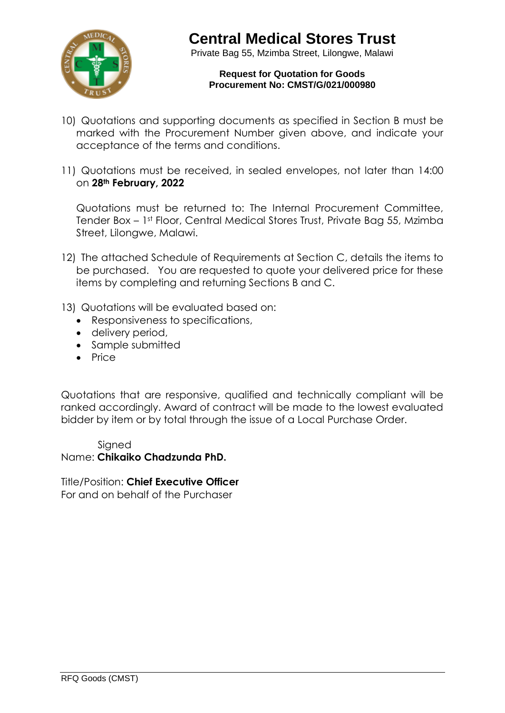

Private Bag 55, Mzimba Street, Lilongwe, Malawi

#### **Request for Quotation for Goods Procurement No: CMST/G/021/000980**

- 10) Quotations and supporting documents as specified in Section B must be marked with the Procurement Number given above, and indicate your acceptance of the terms and conditions.
- 11) Quotations must be received, in sealed envelopes, not later than 14:00 on **28th February, 2022**

Quotations must be returned to: The Internal Procurement Committee, Tender Box – 1st Floor, Central Medical Stores Trust, Private Bag 55, Mzimba Street, Lilongwe, Malawi.

- 12) The attached Schedule of Requirements at Section C, details the items to be purchased. You are requested to quote your delivered price for these items by completing and returning Sections B and C.
- 13) Quotations will be evaluated based on:
	- Responsiveness to specifications,
	- delivery period,
	- Sample submitted
	- Price

Quotations that are responsive, qualified and technically compliant will be ranked accordingly. Award of contract will be made to the lowest evaluated bidder by item or by total through the issue of a Local Purchase Order.

#### Sianed Name: **Chikaiko Chadzunda PhD.**

Title/Position: **Chief Executive Officer** For and on behalf of the Purchaser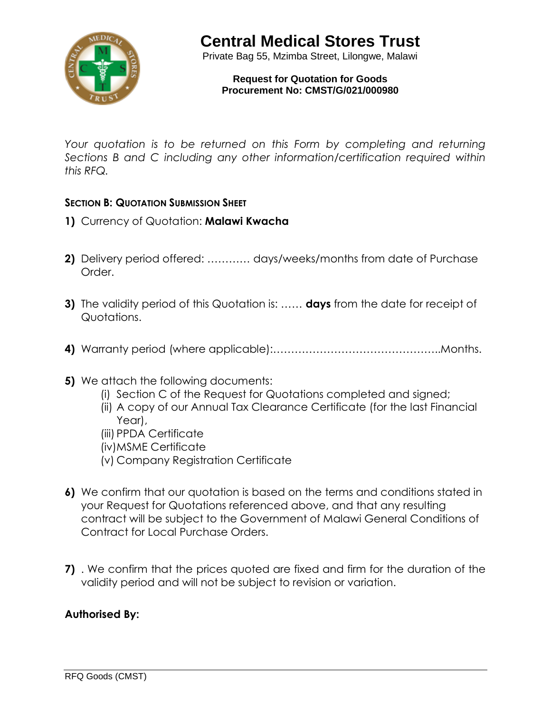

Private Bag 55, Mzimba Street, Lilongwe, Malawi

**Request for Quotation for Goods Procurement No: CMST/G/021/000980**

*Your quotation is to be returned on this Form by completing and returning Sections B and C including any other information/certification required within this RFQ.* 

### **SECTION B: QUOTATION SUBMISSION SHEET**

- **1)** Currency of Quotation: **Malawi Kwacha**
- **2)** Delivery period offered: ………… days/weeks/months from date of Purchase Order.
- **3)** The validity period of this Quotation is: …… **days** from the date for receipt of Quotations.
- **4)** Warranty period (where applicable):………………………………………..Months.
- **5)** We attach the following documents:
	- (i) Section C of the Request for Quotations completed and signed;
	- (ii) A copy of our Annual Tax Clearance Certificate (for the last Financial Year),
	- (iii) PPDA Certificate
	- (iv)MSME Certificate
	- (v) Company Registration Certificate
- **6)** We confirm that our quotation is based on the terms and conditions stated in your Request for Quotations referenced above, and that any resulting contract will be subject to the Government of Malawi General Conditions of Contract for Local Purchase Orders.
- **7)** . We confirm that the prices quoted are fixed and firm for the duration of the validity period and will not be subject to revision or variation.

### **Authorised By:**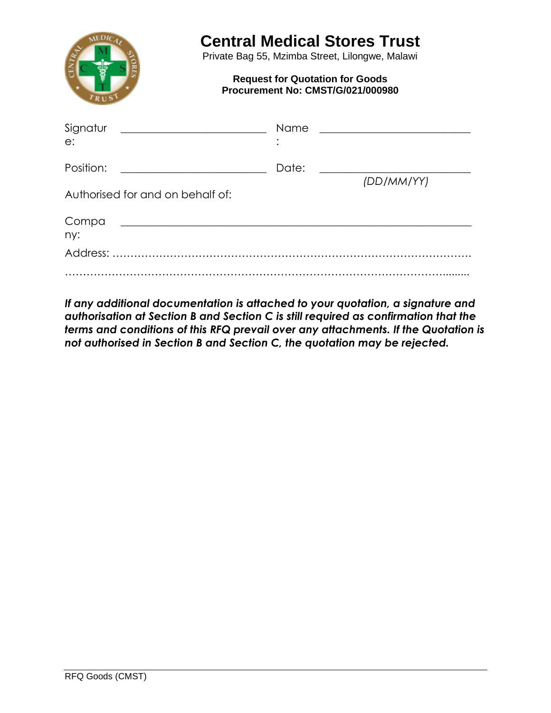

Private Bag 55, Mzimba Street, Lilongwe, Malawi

#### **Request for Quotation for Goods Procurement No: CMST/G/021/000980**

| Signatur<br><u> 1980 - Johann Barnett, fransk politik (</u><br>e:                                                                     | Name  | <u> 1980 - Andrea Andrew Maria (h. 1980).</u> |
|---------------------------------------------------------------------------------------------------------------------------------------|-------|-----------------------------------------------|
| Position:<br><u> 1989 - Andrea Station Barbara, amerikan per</u>                                                                      | Date: |                                               |
| Authorised for and on behalf of:                                                                                                      |       | (DD/MM/YY)                                    |
| Compa<br><u> 1989 - Johann Harry Harry Harry Harry Harry Harry Harry Harry Harry Harry Harry Harry Harry Harry Harry Harry</u><br>ny: |       |                                               |
|                                                                                                                                       |       |                                               |
|                                                                                                                                       |       |                                               |

*If any additional documentation is attached to your quotation, a signature and authorisation at Section B and Section C is still required as confirmation that the terms and conditions of this RFQ prevail over any attachments. If the Quotation is not authorised in Section B and Section C, the quotation may be rejected.*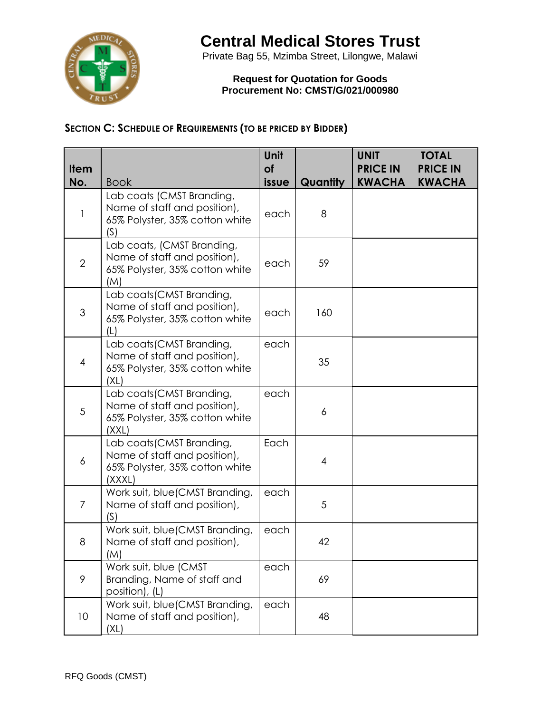

Private Bag 55, Mzimba Street, Lilongwe, Malawi

**Request for Quotation for Goods Procurement No: CMST/G/021/000980**

### **SECTION C: SCHEDULE OF REQUIREMENTS (TO BE PRICED BY BIDDER)**

| <b>Item</b><br>No. | <b>Book</b>                                                                                           | Unit<br>of<br>issue | Quantity       | <b>UNIT</b><br><b>PRICE IN</b><br><b>KWACHA</b> | <b>TOTAL</b><br><b>PRICE IN</b><br><b>KWACHA</b> |
|--------------------|-------------------------------------------------------------------------------------------------------|---------------------|----------------|-------------------------------------------------|--------------------------------------------------|
| 1                  | Lab coats (CMST Branding,<br>Name of staff and position),<br>65% Polyster, 35% cotton white<br>(S)    | each                | 8              |                                                 |                                                  |
| $\overline{2}$     | Lab coats, (CMST Branding,<br>Name of staff and position),<br>65% Polyster, 35% cotton white<br>(M)   | each                | 59             |                                                 |                                                  |
| 3                  | Lab coats (CMST Branding,<br>Name of staff and position),<br>65% Polyster, 35% cotton white<br>(L)    | each                | 160            |                                                 |                                                  |
| $\overline{4}$     | Lab coats (CMST Branding,<br>Name of staff and position),<br>65% Polyster, 35% cotton white<br>(XL)   | each                | 35             |                                                 |                                                  |
| $\sqrt{5}$         | Lab coats (CMST Branding,<br>Name of staff and position),<br>65% Polyster, 35% cotton white<br>(XXL)  | each                | 6              |                                                 |                                                  |
| $\boldsymbol{6}$   | Lab coats (CMST Branding,<br>Name of staff and position),<br>65% Polyster, 35% cotton white<br>(XXXL) | Each                | $\overline{4}$ |                                                 |                                                  |
| $\overline{7}$     | Work suit, blue(CMST Branding,<br>Name of staff and position),<br>(S)                                 | each                | 5              |                                                 |                                                  |
| 8                  | Work suit, blue(CMST Branding,<br>Name of staff and position),<br>(M)                                 | each                | 42             |                                                 |                                                  |
| 9                  | Work suit, blue (CMST<br>Branding, Name of staff and<br>position), (L)                                | each                | 69             |                                                 |                                                  |
| 10                 | Work suit, blue(CMST Branding,<br>Name of staff and position),<br>(XL)                                | each                | 48             |                                                 |                                                  |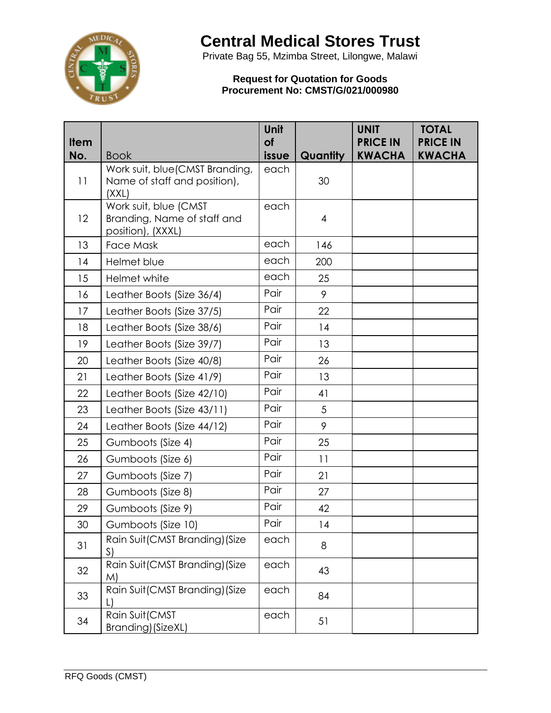

Private Bag 55, Mzimba Street, Lilongwe, Malawi

#### **Request for Quotation for Goods Procurement No: CMST/G/021/000980**

| <b>Item</b> |                                                                           | Unit<br>of |          | <b>UNIT</b><br><b>PRICE IN</b> | <b>TOTAL</b><br><b>PRICE IN</b> |
|-------------|---------------------------------------------------------------------------|------------|----------|--------------------------------|---------------------------------|
| No.         | <b>Book</b>                                                               | issue      | Quantity | <b>KWACHA</b>                  | <b>KWACHA</b>                   |
| 11          | Work suit, blue (CMST Branding,<br>Name of staff and position),<br>(XXL)  | each       | 30       |                                |                                 |
| 12          | Work suit, blue (CMST<br>Branding, Name of staff and<br>position), (XXXL) | each       | 4        |                                |                                 |
| 13          | <b>Face Mask</b>                                                          | each       | 146      |                                |                                 |
| 14          | Helmet blue                                                               | each       | 200      |                                |                                 |
| 15          | Helmet white                                                              | each       | 25       |                                |                                 |
| 16          | Leather Boots (Size 36/4)                                                 | Pair       | 9        |                                |                                 |
| 17          | Leather Boots (Size 37/5)                                                 | Pair       | 22       |                                |                                 |
| 18          | Leather Boots (Size 38/6)                                                 | Pair       | 14       |                                |                                 |
| 19          | Leather Boots (Size 39/7)                                                 | Pair       | 13       |                                |                                 |
| 20          | Leather Boots (Size 40/8)                                                 | Pair       | 26       |                                |                                 |
| 21          | Leather Boots (Size 41/9)                                                 | Pair       | 13       |                                |                                 |
| 22          | Leather Boots (Size 42/10)                                                | Pair       | 41       |                                |                                 |
| 23          | Leather Boots (Size 43/11)                                                | Pair       | 5        |                                |                                 |
| 24          | Leather Boots (Size 44/12)                                                | Pair       | 9        |                                |                                 |
| 25          | Gumboots (Size 4)                                                         | Pair       | 25       |                                |                                 |
| 26          | Gumboots (Size 6)                                                         | Pair       | 11       |                                |                                 |
| 27          | Gumboots (Size 7)                                                         | Pair       | 21       |                                |                                 |
| 28          | Gumboots (Size 8)                                                         | Pair       | 27       |                                |                                 |
| 29          | Gumboots (Size 9)                                                         | Pair       | 42       |                                |                                 |
| 30          | Gumboots (Size 10)                                                        | Pair       | 14       |                                |                                 |
| 31          | Rain Suit(CMST Branding) (Size<br>S)                                      | each       | 8        |                                |                                 |
| 32          | Rain Suit(CMST Branding) (Size<br>M)                                      | each       | 43       |                                |                                 |
| 33          | Rain Suit(CMST Branding) (Size                                            | each       | 84       |                                |                                 |
| 34          | Rain Suit(CMST<br>Branding) (SizeXL)                                      | each       | 51       |                                |                                 |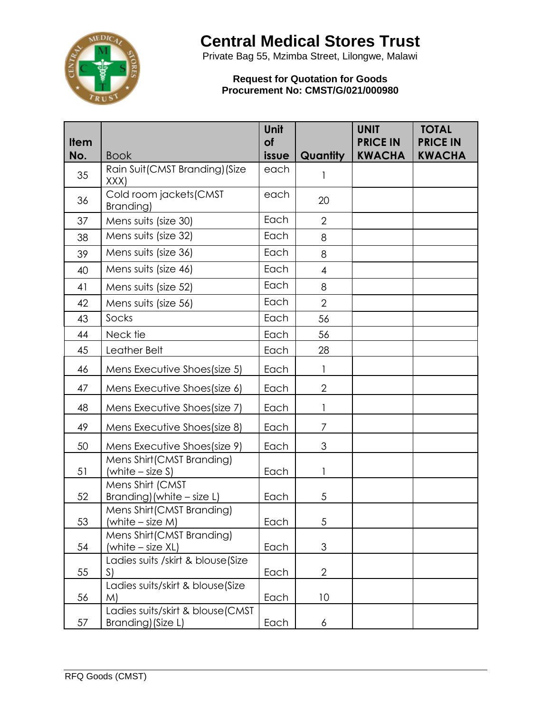

Private Bag 55, Mzimba Street, Lilongwe, Malawi

#### **Request for Quotation for Goods Procurement No: CMST/G/021/000980**

|      |                                                        | Unit      |                | <b>UNIT</b>     | <b>TOTAL</b>    |
|------|--------------------------------------------------------|-----------|----------------|-----------------|-----------------|
| Item |                                                        | <b>of</b> |                | <b>PRICE IN</b> | <b>PRICE IN</b> |
| No.  | <b>Book</b>                                            | issue     | Quantity       | <b>KWACHA</b>   | <b>KWACHA</b>   |
| 35   | Rain Suit(CMST Branding)(Size<br>XXX)                  | each      |                |                 |                 |
| 36   | Cold room jackets(CMST<br>Branding)                    | each      | 20             |                 |                 |
| 37   | Mens suits (size 30)                                   | Each      | $\overline{2}$ |                 |                 |
| 38   | Mens suits (size 32)                                   | Each      | 8              |                 |                 |
| 39   | Mens suits (size 36)                                   | Each      | 8              |                 |                 |
| 40   | Mens suits (size 46)                                   | Each      | 4              |                 |                 |
| 41   | Mens suits (size 52)                                   | Each      | 8              |                 |                 |
| 42   | Mens suits (size 56)                                   | Each      | $\overline{2}$ |                 |                 |
| 43   | Socks                                                  | Each      | 56             |                 |                 |
| 44   | Neck tie                                               | Each      | 56             |                 |                 |
| 45   | Leather Belt                                           | Each      | 28             |                 |                 |
| 46   | Mens Executive Shoes(size 5)                           | Each      |                |                 |                 |
| 47   | Mens Executive Shoes(size 6)                           | Each      | $\overline{2}$ |                 |                 |
| 48   | Mens Executive Shoes(size 7)                           | Each      |                |                 |                 |
| 49   | Mens Executive Shoes(size 8)                           | Each      | 7              |                 |                 |
| 50   | Mens Executive Shoes(size 9)                           | Each      | 3              |                 |                 |
| 51   | Mens Shirt(CMST Branding)<br>(white $-$ size S)        | Each      | 1              |                 |                 |
| 52   | Mens Shirt (CMST<br>Branding) (white $-$ size L)       | Each      | 5              |                 |                 |
| 53   | Mens Shirt (CMST Branding)<br>(white $-$ size M)       | Each      | 5              |                 |                 |
| 54   | Mens Shirt (CMST Branding)<br>(white - size XL)        | Each      | 3              |                 |                 |
| 55   | Ladies suits /skirt & blouse(Size<br>S)                | Each      | $\overline{2}$ |                 |                 |
| 56   | Ladies suits/skirt & blouse(Size<br>M)                 | Each      | 10             |                 |                 |
| 57   | Ladies suits/skirt & blouse(CMST<br>Branding) (Size L) | Each      | 6              |                 |                 |